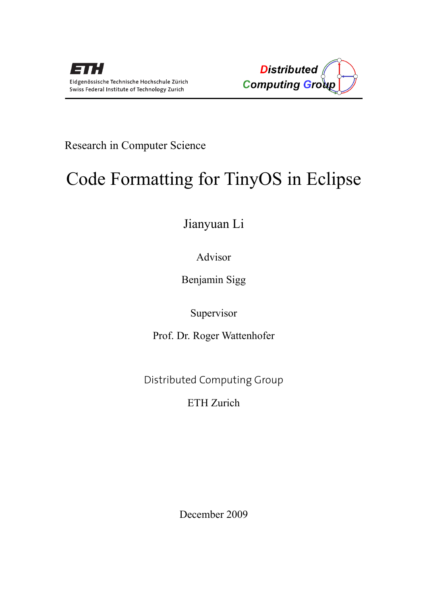

Research in Computer Science

# Code Formatting for TinyOS in Eclipse

Jianyuan Li

Advisor

Benjamin Sigg

Supervisor

Prof. Dr. Roger Wattenhofer

Distributed Computing Group

ETH Zurich

December 2009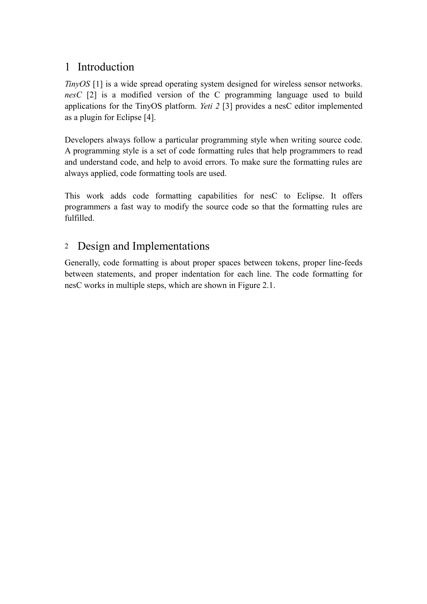### 1 Introduction

*TinyOS* [1] is a wide spread operating system designed for wireless sensor networks. *nesC* [2] is a modified version of the C programming language used to build applications for the TinyOS platform. *Yeti 2* [3] provides a nesC editor implemented as a plugin for Eclipse [4].

Developers always follow a particular programming style when writing source code. A programming style is a set of code formatting rules that help programmers to read and understand code, and help to avoid errors. To make sure the formatting rules are always applied, code formatting tools are used.

This work adds code formatting capabilities for nesC to Eclipse. It offers programmers a fast way to modify the source code so that the formatting rules are fulfilled.

## <sup>2</sup> Design and Implementations

Generally, code formatting is about proper spaces between tokens, proper line-feeds between statements, and proper indentation for each line. The code formatting for nesC works in multiple steps, which are shown in Figure 2.1.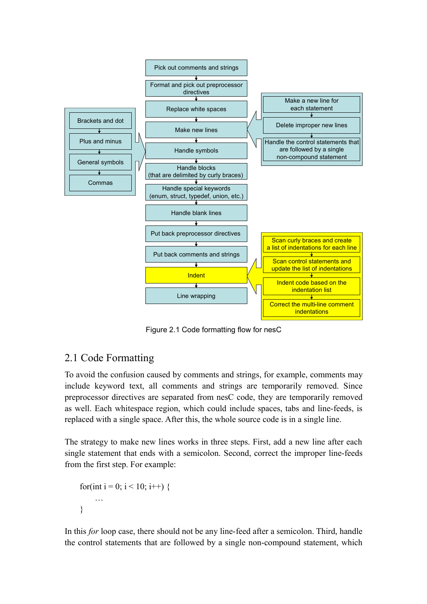

Figure 2.1 Code formatting flow for nesC

## 2.1 Code Formatting

To avoid the confusion caused by comments and strings, for example, comments may include keyword text, all comments and strings are temporarily removed. Since preprocessor directives are separated from nesC code, they are temporarily removed as well. Each whitespace region, which could include spaces, tabs and line-feeds, is replaced with a single space. After this, the whole source code is in a single line.

The strategy to make new lines works in three steps. First, add a new line after each single statement that ends with a semicolon. Second, correct the improper line-feeds from the first step. For example:

```
for(int i = 0; i < 10; i++) {
     …
}
```
In this *for* loop case, there should not be any line-feed after a semicolon. Third, handle the control statements that are followed by a single non-compound statement, which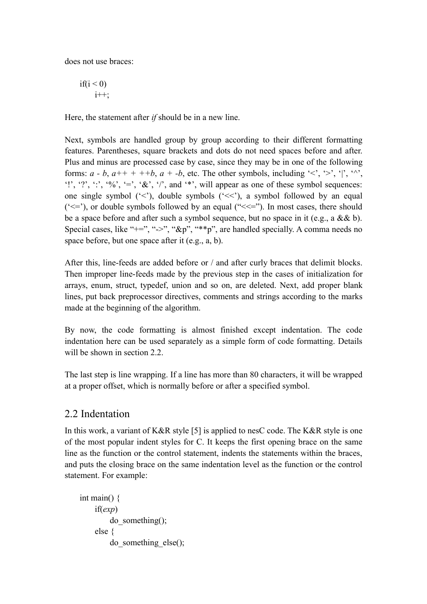does not use braces:

$$
\text{if}(i < 0) \\
 i++;
$$

Here, the statement after *if* should be in a new line.

Next, symbols are handled group by group according to their different formatting features. Parentheses, square brackets and dots do not need spaces before and after. Plus and minus are processed case by case, since they may be in one of the following forms:  $a - b$ ,  $a^{++} + +b$ ,  $a + -b$ , etc. The other symbols, including '<', '>', '|', '^', '!', '?', ':', '%', '=', '&', '/', and '\*', will appear as one of these symbol sequences: one single symbol  $(\leq')$ , double symbols  $(\leq')$ , a symbol followed by an equal  $(\leq)=$ , or double symbols followed by an equal  $(\leq\leq=$ "). In most cases, there should be a space before and after such a symbol sequence, but no space in it (e.g., a  $&&b$ ). Special cases, like " $+$ =", "->", " $\&p$ ", " $*$ "p", are handled specially. A comma needs no space before, but one space after it (e.g., a, b).

After this, line-feeds are added before or / and after curly braces that delimit blocks. Then improper line-feeds made by the previous step in the cases of initialization for arrays, enum, struct, typedef, union and so on, are deleted. Next, add proper blank lines, put back preprocessor directives, comments and strings according to the marks made at the beginning of the algorithm.

By now, the code formatting is almost finished except indentation. The code indentation here can be used separately as a simple form of code formatting. Details will be shown in section 2.2.

The last step is line wrapping. If a line has more than 80 characters, it will be wrapped at a proper offset, which is normally before or after a specified symbol.

#### 2.2 Indentation

In this work, a variant of K&R style [5] is applied to nesC code. The K&R style is one of the most popular indent styles for C. It keeps the first opening brace on the same line as the function or the control statement, indents the statements within the braces, and puts the closing brace on the same indentation level as the function or the control statement. For example:

```
int main() {
    if(exp)
        do_something();
    else {
        do_something_else();
```